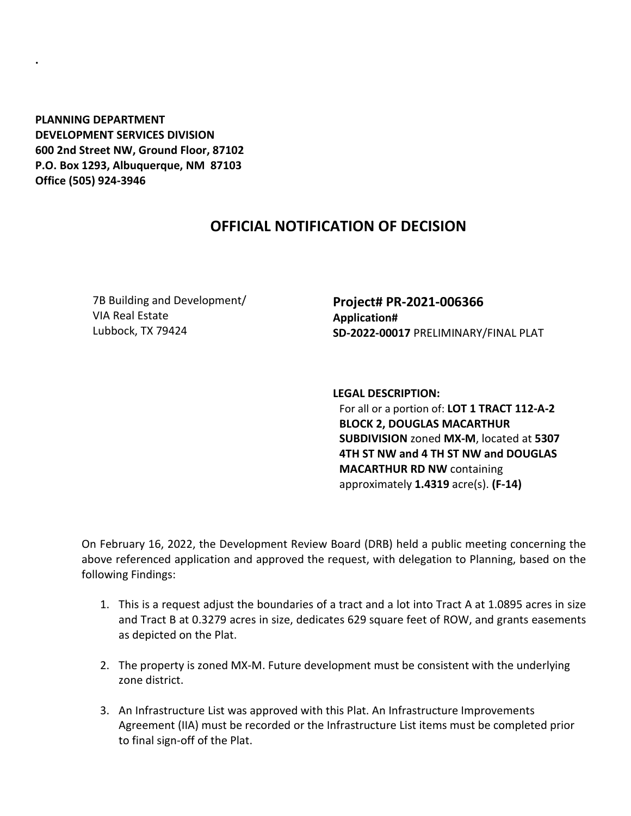**PLANNING DEPARTMENT DEVELOPMENT SERVICES DIVISION 600 2nd Street NW, Ground Floor, 87102 P.O. Box 1293, Albuquerque, NM 87103 Office (505) 924-3946** 

**.**

## **OFFICIAL NOTIFICATION OF DECISION**

7B Building and Development/ VIA Real Estate Lubbock, TX 79424

**Project# PR-2021-006366 Application# SD-2022-00017** PRELIMINARY/FINAL PLAT

**LEGAL DESCRIPTION:** For all or a portion of: **LOT 1 TRACT 112-A-2 BLOCK 2, DOUGLAS MACARTHUR SUBDIVISION** zoned **MX-M**, located at **5307 4TH ST NW and 4 TH ST NW and DOUGLAS MACARTHUR RD NW** containing

approximately **1.4319** acre(s). **(F-14)**

On February 16, 2022, the Development Review Board (DRB) held a public meeting concerning the above referenced application and approved the request, with delegation to Planning, based on the following Findings:

- 1. This is a request adjust the boundaries of a tract and a lot into Tract A at 1.0895 acres in size and Tract B at 0.3279 acres in size, dedicates 629 square feet of ROW, and grants easements as depicted on the Plat.
- 2. The property is zoned MX-M. Future development must be consistent with the underlying zone district.
- 3. An Infrastructure List was approved with this Plat. An Infrastructure Improvements Agreement (IIA) must be recorded or the Infrastructure List items must be completed prior to final sign-off of the Plat.